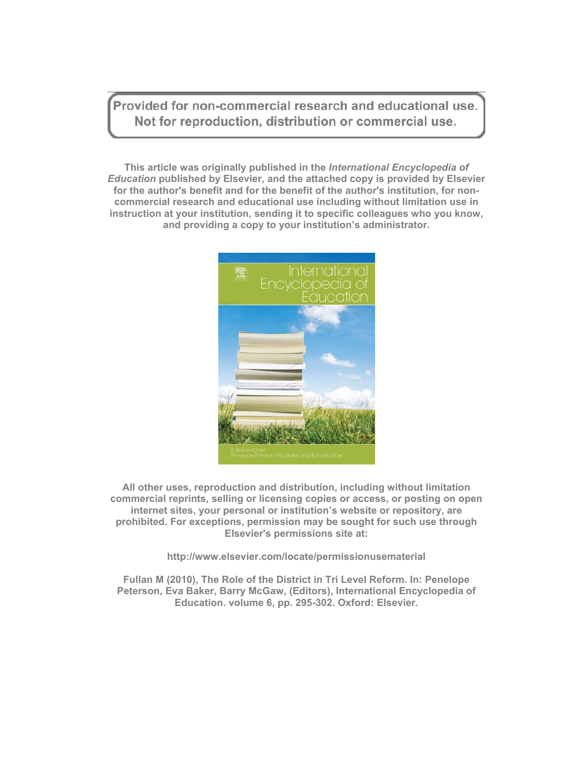Provided for non-commercial research and educational use. Not for reproduction, distribution or commercial use.

**This article was originally published in the** *International Encyclopedia of Education* **published by Elsevier, and the attached copy is provided by Elsevier for the author's benefit and for the benefit of the author's institution, for noncommercial research and educational use including without limitation use in instruction at your institution, sending it to specific colleagues who you know, and providing a copy to your institution's administrator.** 



**All other uses, reproduction and distribution, including without limitation commercial reprints, selling or licensing copies or access, or posting on open internet sites, your personal or institution's website or repository, are prohibited. For exceptions, permission may be sought for such use through Elsevier's permissions site at:** 

**http://www.elsevier.com/locate/permissionusematerial** 

**Fullan M (2010), The Role of the District in Tri Level Reform. In: Penelope Peterson, Eva Baker, Barry McGaw, (Editors), International Encyclopedia of Education. volume 6, pp. 295-302. Oxford: Elsevier.**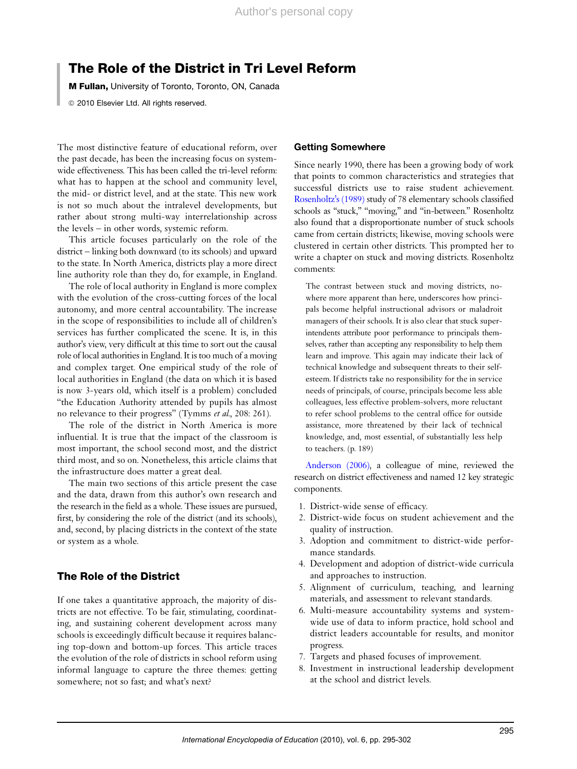# The Role of the District in Tri Level Reform

M Fullan, University of Toronto, Toronto, ON, Canada

ã 2010 Elsevier Ltd. All rights reserved.

The most distinctive feature of educational reform, over the past decade, has been the increasing focus on systemwide effectiveness. This has been called the tri-level reform: what has to happen at the school and community level, the mid- or district level, and at the state. This new work is not so much about the intralevel developments, but rather about strong multi-way interrelationship across the levels – in other words, systemic reform.

This article focuses particularly on the role of the district – linking both downward (to its schools) and upward to the state. In North America, districts play a more direct line authority role than they do, for example, in England.

The role of local authority in England is more complex with the evolution of the cross-cutting forces of the local autonomy, and more central accountability. The increase in the scope of responsibilities to include all of children's services has further complicated the scene. It is, in this author's view, very difficult at this time to sort out the causal role of local authorities in England. It is too much of a moving and complex target. One empirical study of the role of local authorities in England (the data on which it is based is now 3-years old, which itself is a problem) concluded ''the Education Authority attended by pupils has almost no relevance to their progress'' (Tymms et al., 208: 261).

The role of the district in North America is more influential. It is true that the impact of the classroom is most important, the school second most, and the district third most, and so on. Nonetheless, this article claims that the infrastructure does matter a great deal.

The main two sections of this article present the case and the data, drawn from this author's own research and the research in the field as a whole. These issues are pursued, first, by considering the role of the district (and its schools), and, second, by placing districts in the context of the state or system as a whole.

## The Role of the District

If one takes a quantitative approach, the majority of districts are not effective. To be fair, stimulating, coordinating, and sustaining coherent development across many schools is exceedingly difficult because it requires balancing top-down and bottom-up forces. This article traces the evolution of the role of districts in school reform using informal language to capture the three themes: getting somewhere; not so fast; and what's next?

### Getting Somewhere

Since nearly 1990, there has been a growing body of work that points to common characteristics and strategies that successful districts use to raise student achievement. [Rosenholtz's \(1989\)](#page-8-0) study of 78 elementary schools classified schools as "stuck," "moving," and "in-between." Rosenholtz also found that a disproportionate number of stuck schools came from certain districts; likewise, moving schools were clustered in certain other districts. This prompted her to write a chapter on stuck and moving districts. Rosenholtz comments:

The contrast between stuck and moving districts, nowhere more apparent than here, underscores how principals become helpful instructional advisors or maladroit managers of their schools. It is also clear that stuck superintendents attribute poor performance to principals themselves, rather than accepting any responsibility to help them learn and improve. This again may indicate their lack of technical knowledge and subsequent threats to their selfesteem. If districts take no responsibility for the in service needs of principals, of course, principals become less able colleagues, less effective problem-solvers, more reluctant to refer school problems to the central office for outside assistance, more threatened by their lack of technical knowledge, and, most essential, of substantially less help to teachers. (p. 189)

[Anderson \(2006\),](#page-8-0) a colleague of mine, reviewed the research on district effectiveness and named 12 key strategic components.

- 1. District-wide sense of efficacy.
- 2. District-wide focus on student achievement and the quality of instruction.
- 3. Adoption and commitment to district-wide performance standards.
- 4. Development and adoption of district-wide curricula and approaches to instruction.
- 5. Alignment of curriculum, teaching, and learning materials, and assessment to relevant standards.
- 6. Multi-measure accountability systems and systemwide use of data to inform practice, hold school and district leaders accountable for results, and monitor progress.
- 7. Targets and phased focuses of improvement.
- 8. Investment in instructional leadership development at the school and district levels.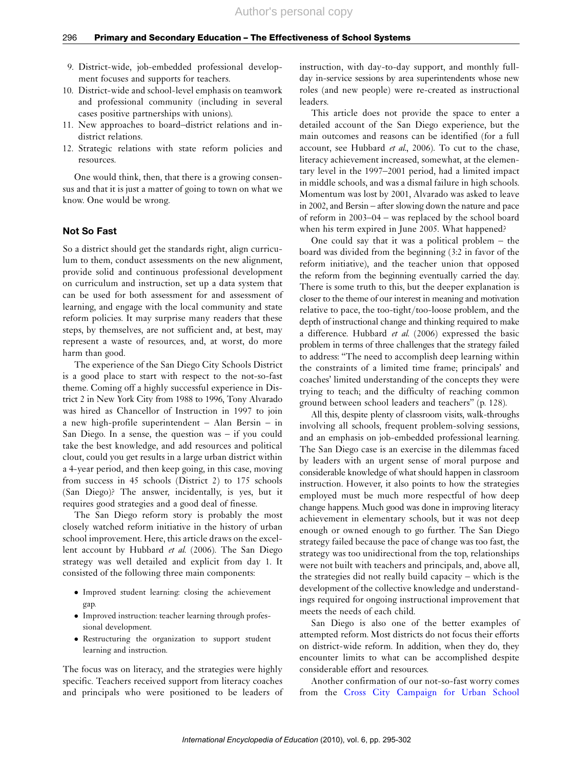- 9. District-wide, job-embedded professional development focuses and supports for teachers.
- 10. District-wide and school-level emphasis on teamwork and professional community (including in several cases positive partnerships with unions).
- 11. New approaches to board–district relations and indistrict relations.
- 12. Strategic relations with state reform policies and resources.

One would think, then, that there is a growing consensus and that it is just a matter of going to town on what we know. One would be wrong.

### **Not So Fast** Not So Fast

So a district should get the standards right, align curriculum to them, conduct assessments on the new alignment, provide solid and continuous professional development on curriculum and instruction, set up a data system that can be used for both assessment for and assessment of learning, and engage with the local community and state reform policies. It may surprise many readers that these steps, by themselves, are not sufficient and, at best, may represent a waste of resources, and, at worst, do more harm than good.

The experience of the San Diego City Schools District is a good place to start with respect to the not-so-fast theme. Coming off a highly successful experience in District 2 in New York City from 1988 to 1996, Tony Alvarado was hired as Chancellor of Instruction in 1997 to join a new high-profile superintendent – Alan Bersin – in San Diego. In a sense, the question was – if you could take the best knowledge, and add resources and political clout, could you get results in a large urban district within a 4-year period, and then keep going, in this case, moving from success in 45 schools (District 2) to 175 schools (San Diego)? The answer, incidentally, is yes, but it requires good strategies and a good deal of finesse.

The San Diego reform story is probably the most closely watched reform initiative in the history of urban school improvement. Here, this article draws on the excellent account by Hubbard et al. (2006). The San Diego strategy was well detailed and explicit from day 1. It consisted of the following three main components:

- Improved student learning: closing the achievement gap.
- Improved instruction: teacher learning through professional development.
- Restructuring the organization to support student learning and instruction.

The focus was on literacy, and the strategies were highly specific. Teachers received support from literacy coaches and principals who were positioned to be leaders of instruction, with day-to-day support, and monthly fullday in-service sessions by area superintendents whose new roles (and new people) were re-created as instructional leaders.

This article does not provide the space to enter a detailed account of the San Diego experience, but the main outcomes and reasons can be identified (for a full account, see Hubbard et al., 2006). To cut to the chase, literacy achievement increased, somewhat, at the elementary level in the 1997–2001 period, had a limited impact in middle schools, and was a dismal failure in high schools. Momentum was lost by 2001, Alvarado was asked to leave in 2002, and Bersin – after slowing down the nature and pace of reform in 2003–04 – was replaced by the school board when his term expired in June 2005. What happened?

One could say that it was a political problem – the board was divided from the beginning (3:2 in favor of the reform initiative), and the teacher union that opposed the reform from the beginning eventually carried the day. There is some truth to this, but the deeper explanation is closer to the theme of our interest in meaning and motivation relative to pace, the too-tight/too-loose problem, and the depth of instructional change and thinking required to make a difference. Hubbard et al.  $(2006)$  expressed the basic problem in terms of three challenges that the strategy failed to address: ''The need to accomplish deep learning within the constraints of a limited time frame; principals' and coaches' limited understanding of the concepts they were trying to teach; and the difficulty of reaching common ground between school leaders and teachers'' (p. 128).

All this, despite plenty of classroom visits, walk-throughs involving all schools, frequent problem-solving sessions, and an emphasis on job-embedded professional learning. The San Diego case is an exercise in the dilemmas faced by leaders with an urgent sense of moral purpose and considerable knowledge of what should happen in classroom instruction. However, it also points to how the strategies employed must be much more respectful of how deep change happens. Much good was done in improving literacy achievement in elementary schools, but it was not deep enough or owned enough to go further. The San Diego strategy failed because the pace of change was too fast, the strategy was too unidirectional from the top, relationships were not built with teachers and principals, and, above all, the strategies did not really build capacity – which is the development of the collective knowledge and understandings required for ongoing instructional improvement that meets the needs of each child.

San Diego is also one of the better examples of attempted reform. Most districts do not focus their efforts on district-wide reform. In addition, when they do, they encounter limits to what can be accomplished despite considerable effort and resources.

Another confirmation of our not-so-fast worry comes from the [Cross City Campaign for Urban School](#page-8-0)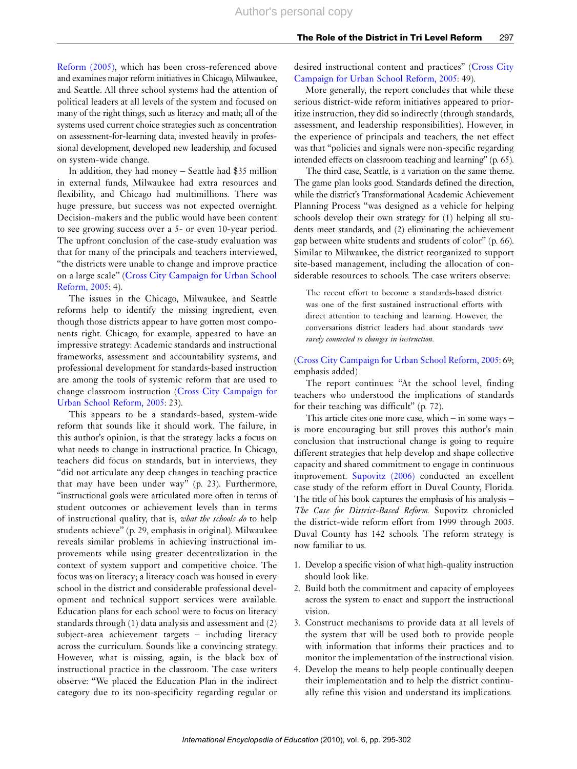[Reform \(2005\)](#page-8-0), which has been cross-referenced above and examines major reform initiatives in Chicago, Milwaukee, and Seattle. All three school systems had the attention of political leaders at all levels of the system and focused on many of the right things, such as literacy and math; all of the systems used current choice strategies such as concentration on assessment-for-learning data, invested heavily in professional development, developed new leadership, and focused on system-wide change.

In addition, they had money – Seattle had \$35 million in external funds, Milwaukee had extra resources and flexibility, and Chicago had multimillions. There was huge pressure, but success was not expected overnight. Decision-makers and the public would have been content to see growing success over a 5- or even 10-year period. The upfront conclusion of the case-study evaluation was that for many of the principals and teachers interviewed, ''the districts were unable to change and improve practice on a large scale'' [\(Cross City Campaign for Urban School](#page-8-0) [Reform, 2005](#page-8-0): 4).

The issues in the Chicago, Milwaukee, and Seattle reforms help to identify the missing ingredient, even though those districts appear to have gotten most components right. Chicago, for example, appeared to have an impressive strategy: Academic standards and instructional frameworks, assessment and accountability systems, and professional development for standards-based instruction are among the tools of systemic reform that are used to change classroom instruction [\(Cross City Campaign for](#page-8-0) [Urban School Reform, 2005:](#page-8-0) 23).

This appears to be a standards-based, system-wide reform that sounds like it should work. The failure, in this author's opinion, is that the strategy lacks a focus on what needs to change in instructional practice. In Chicago, teachers did focus on standards, but in interviews, they ''did not articulate any deep changes in teaching practice that may have been under way'' (p. 23). Furthermore, ''instructional goals were articulated more often in terms of student outcomes or achievement levels than in terms of instructional quality, that is, what the schools do to help students achieve'' (p. 29, emphasis in original). Milwaukee reveals similar problems in achieving instructional improvements while using greater decentralization in the context of system support and competitive choice. The focus was on literacy; a literacy coach was housed in every school in the district and considerable professional development and technical support services were available. Education plans for each school were to focus on literacy standards through (1) data analysis and assessment and (2) subject-area achievement targets – including literacy across the curriculum. Sounds like a convincing strategy. However, what is missing, again, is the black box of instructional practice in the classroom. The case writers observe: ''We placed the Education Plan in the indirect category due to its non-specificity regarding regular or

desired instructional content and practices'' ([Cross City](#page-8-0) [Campaign for Urban School Reform, 2005](#page-8-0): 49).

More generally, the report concludes that while these serious district-wide reform initiatives appeared to prioritize instruction, they did so indirectly (through standards, assessment, and leadership responsibilities). However, in the experience of principals and teachers, the net effect was that "policies and signals were non-specific regarding intended effects on classroom teaching and learning'' (p. 65).

The third case, Seattle, is a variation on the same theme. The game plan looks good. Standards defined the direction, while the district's Transformational Academic Achievement Planning Process ''was designed as a vehicle for helping schools develop their own strategy for (1) helping all students meet standards, and (2) eliminating the achievement gap between white students and students of color'' (p. 66). Similar to Milwaukee, the district reorganized to support site-based management, including the allocation of considerable resources to schools. The case writers observe:

The recent effort to become a standards-based district was one of the first sustained instructional efforts with direct attention to teaching and learning. However, the conversations district leaders had about standards were rarely connected to changes in instruction.

([Cross City Campaign for Urban School Reform, 2005](#page-8-0): 69; emphasis added)

The report continues: "At the school level, finding teachers who understood the implications of standards for their teaching was difficult'' (p. 72).

This article cites one more case, which – in some ways – is more encouraging but still proves this author's main conclusion that instructional change is going to require different strategies that help develop and shape collective capacity and shared commitment to engage in continuous improvement. [Supovitz \(2006\)](#page-8-0) conducted an excellent case study of the reform effort in Duval County, Florida. The title of his book captures the emphasis of his analysis – The Case for District-Based Reform. Supovitz chronicled the district-wide reform effort from 1999 through 2005. Duval County has 142 schools. The reform strategy is now familiar to us.

- 1. Develop a specific vision of what high-quality instruction should look like.
- 2. Build both the commitment and capacity of employees across the system to enact and support the instructional vision.
- 3. Construct mechanisms to provide data at all levels of the system that will be used both to provide people with information that informs their practices and to monitor the implementation of the instructional vision.
- 4. Develop the means to help people continually deepen their implementation and to help the district continually refine this vision and understand its implications.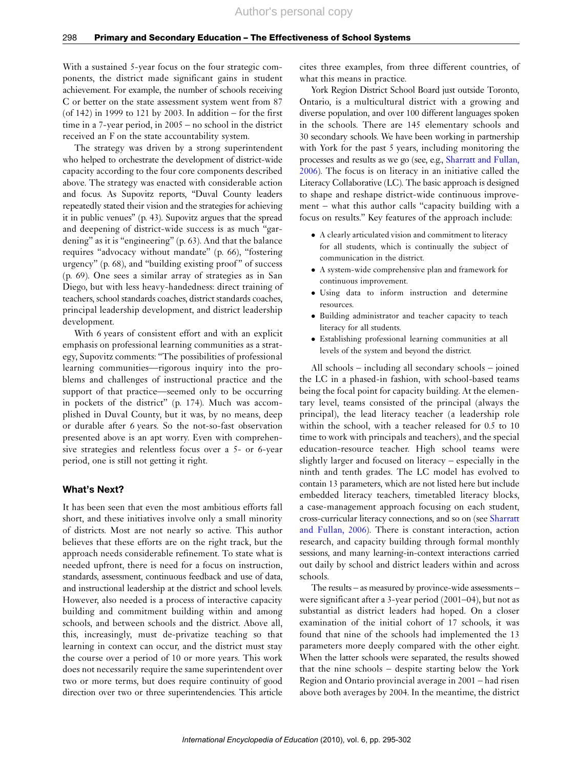With a sustained 5-year focus on the four strategic components, the district made significant gains in student achievement. For example, the number of schools receiving C or better on the state assessment system went from 87 (of 142) in 1999 to 121 by 2003. In addition – for the first time in a 7-year period, in 2005 – no school in the district received an F on the state accountability system.

The strategy was driven by a strong superintendent who helped to orchestrate the development of district-wide capacity according to the four core components described above. The strategy was enacted with considerable action and focus. As Supovitz reports, ''Duval County leaders repeatedly stated their vision and the strategies for achieving it in public venues'' (p. 43). Supovitz argues that the spread and deepening of district-wide success is as much ''gardening'' as it is ''engineering'' (p. 63). And that the balance requires ''advocacy without mandate'' (p. 66), ''fostering urgency"  $(p. 68)$ , and "building existing proof" of success (p. 69). One sees a similar array of strategies as in San Diego, but with less heavy-handedness: direct training of teachers, school standards coaches, district standards coaches, principal leadership development, and district leadership development.

With 6 years of consistent effort and with an explicit emphasis on professional learning communities as a strategy, Supovitz comments: ''The possibilities of professional learning communities—rigorous inquiry into the problems and challenges of instructional practice and the support of that practice—seemed only to be occurring in pockets of the district'' (p. 174). Much was accomplished in Duval County, but it was, by no means, deep or durable after 6 years. So the not-so-fast observation presented above is an apt worry. Even with comprehensive strategies and relentless focus over a 5- or 6-year period, one is still not getting it right.

It has been seen that even the most ambitious efforts fall short, and these initiatives involve only a small minority of districts. Most are not nearly so active. This author believes that these efforts are on the right track, but the approach needs considerable refinement. To state what is needed upfront, there is need for a focus on instruction, standards, assessment, continuous feedback and use of data, and instructional leadership at the district and school levels. However, also needed is a process of interactive capacity building and commitment building within and among schools, and between schools and the district. Above all, this, increasingly, must de-privatize teaching so that learning in context can occur, and the district must stay the course over a period of 10 or more years. This work does not necessarily require the same superintendent over two or more terms, but does require continuity of good direction over two or three superintendencies. This article

cites three examples, from three different countries, of what this means in practice.

York Region District School Board just outside Toronto, Ontario, is a multicultural district with a growing and diverse population, and over 100 different languages spoken in the schools. There are 145 elementary schools and 30 secondary schools. We have been working in partnership with York for the past 5 years, including monitoring the processes and results as we go (see, e.g., [Sharratt and Fullan,](#page-8-0) [2006\)](#page-8-0). The focus is on literacy in an initiative called the Literacy Collaborative (LC). The basic approach is designed to shape and reshape district-wide continuous improvement – what this author calls ''capacity building with a focus on results.'' Key features of the approach include:

- A clearly articulated vision and commitment to literacy for all students, which is continually the subject of communication in the district.
- A system-wide comprehensive plan and framework for continuous improvement.
- Using data to inform instruction and determine resources.
- Building administrator and teacher capacity to teach literacy for all students.
- Establishing professional learning communities at all levels of the system and beyond the district.

All schools – including all secondary schools – joined the LC in a phased-in fashion, with school-based teams being the focal point for capacity building. At the elementary level, teams consisted of the principal (always the principal), the lead literacy teacher (a leadership role within the school, with a teacher released for 0.5 to 10 time to work with principals and teachers), and the special education-resource teacher. High school teams were slightly larger and focused on literacy – especially in the ninth and tenth grades. The LC model has evolved to contain 13 parameters, which are not listed here but include embedded literacy teachers, timetabled literacy blocks, a case-management approach focusing on each student, cross-curricular literacy connections, and so on (see [Sharratt](#page-8-0) [and Fullan, 2006](#page-8-0)). There is constant interaction, action research, and capacity building through formal monthly sessions, and many learning-in-context interactions carried out daily by school and district leaders within and across schools.

The results – as measured by province-wide assessments – were significant after a 3-year period (2001–04), but not as substantial as district leaders had hoped. On a closer examination of the initial cohort of 17 schools, it was found that nine of the schools had implemented the 13 parameters more deeply compared with the other eight. When the latter schools were separated, the results showed that the nine schools – despite starting below the York Region and Ontario provincial average in 2001 – had risen above both averages by 2004. In the meantime, the district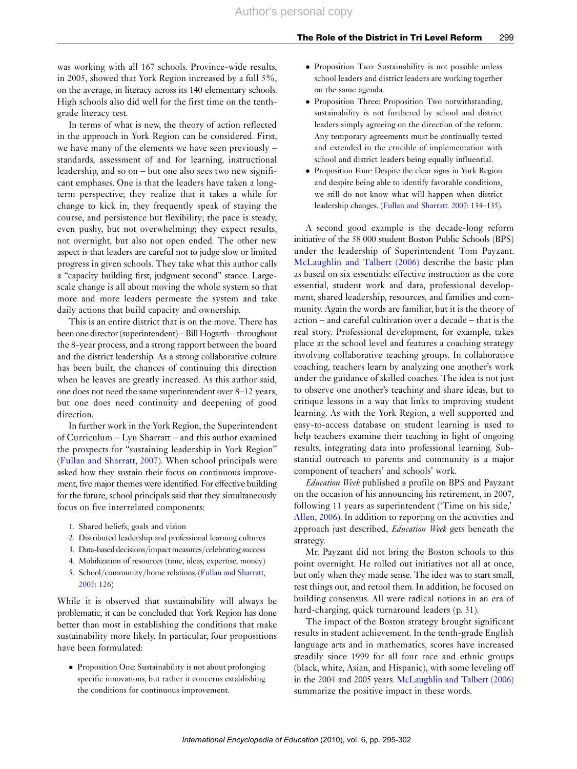was working with all 167 schools. Province-wide results, in 2005, showed that York Region increased by a full 5%, on the average, in literacy across its 140 elementary schools. High schools also did well for the first time on the tenthgrade literacy test.

In terms of what is new, the theory of action reflected in the approach in York Region can be considered. First, we have many of the elements we have seen previously – standards, assessment of and for learning, instructional leadership, and so on – but one also sees two new significant emphases. One is that the leaders have taken a longterm perspective; they realize that it takes a while for change to kick in; they frequently speak of staying the course, and persistence but flexibility; the pace is steady, even pushy, but not overwhelming; they expect results, not overnight, but also not open ended. The other new aspect is that leaders are careful not to judge slow or limited progress in given schools. They take what this author calls a "capacity building first, judgment second" stance. Largescale change is all about moving the whole system so that more and more leaders permeate the system and take daily actions that build capacity and ownership.

This is an entire district that is on the move. There has been one director (superintendent) – Bill Hogarth – throughout the 8-year process, and a strong rapport between the board and the district leadership. As a strong collaborative culture has been built, the chances of continuing this direction when he leaves are greatly increased. As this author said, one does not need the same superintendent over 8–12 years, but one does need continuity and deepening of good direction.

In further work in the York Region, the Superintendent of Curriculum – Lyn Sharratt – and this author examined the prospects for ''sustaining leadership in York Region'' [\(Fullan and Sharratt, 2007](#page-8-0)). When school principals were asked how they sustain their focus on continuous improvement, five major themes were identified. For effective building for the future, school principals said that they simultaneously focus on five interrelated components:

- 1. Shared beliefs, goals and vision
- 2. Distributed leadership and professional learning cultures
- 3. Data-based decisions/impact measures/celebrating success
- 4. Mobilization of resources (time, ideas, expertise, money)
- 5. School/community/home relations. [\(Fullan and Sharratt,](#page-8-0) [2007](#page-8-0): 126)

While it is observed that sustainability will always be problematic, it can be concluded that York Region has done better than most in establishing the conditions that make sustainability more likely. In particular, four propositions have been formulated:

• Proposition One: Sustainability is not about prolonging specific innovations, but rather it concerns establishing the conditions for continuous improvement.

- Proposition Two: Sustainability is not possible unless school leaders and district leaders are working together on the same agenda.
- Proposition Three: Proposition Two notwithstanding, sustainability is not furthered by school and district leaders simply agreeing on the direction of the reform. Any temporary agreements must be continually tested and extended in the crucible of implementation with school and district leaders being equally influential.
- Proposition Four: Despite the clear signs in York Region and despite being able to identify favorable conditions, we still do not know what will happen when district leadership changes. [\(Fullan and Sharratt. 2007](#page-8-0): 134–135).

A second good example is the decade-long reform initiative of the 58 000 student Boston Public Schools (BPS) under the leadership of Superintendent Tom Payzant. [McLaughlin and Talbert \(2006\)](#page-8-0) describe the basic plan as based on six essentials: effective instruction as the core essential, student work and data, professional development, shared leadership, resources, and families and community. Again the words are familiar, but it is the theory of action – and careful cultivation over a decade – that is the real story. Professional development, for example, takes place at the school level and features a coaching strategy involving collaborative teaching groups. In collaborative coaching, teachers learn by analyzing one another's work under the guidance of skilled coaches. The idea is not just to observe one another's teaching and share ideas, but to critique lessons in a way that links to improving student learning. As with the York Region, a well supported and easy-to-access database on student learning is used to help teachers examine their teaching in light of ongoing results, integrating data into professional learning. Substantial outreach to parents and community is a major component of teachers' and schools' work.

Education Week published a profile on BPS and Payzant on the occasion of his announcing his retirement, in 2007, following 11 years as superintendent ('Time on his side,' [Allen, 2006](#page-8-0)). In addition to reporting on the activities and approach just described, Education Week gets beneath the strategy.

Mr. Payzant did not bring the Boston schools to this point overnight. He rolled out initiatives not all at once, but only when they made sense. The idea was to start small, test things out, and retool them. In addition, he focused on building consensus. All were radical notions in an era of hard-charging, quick turnaround leaders (p. 31).

The impact of the Boston strategy brought significant results in student achievement. In the tenth-grade English language arts and in mathematics, scores have increased steadily since 1999 for all four race and ethnic groups (black, white, Asian, and Hispanic), with some leveling off in the 2004 and 2005 years. [McLaughlin and Talbert \(2006\)](#page-8-0) summarize the positive impact in these words.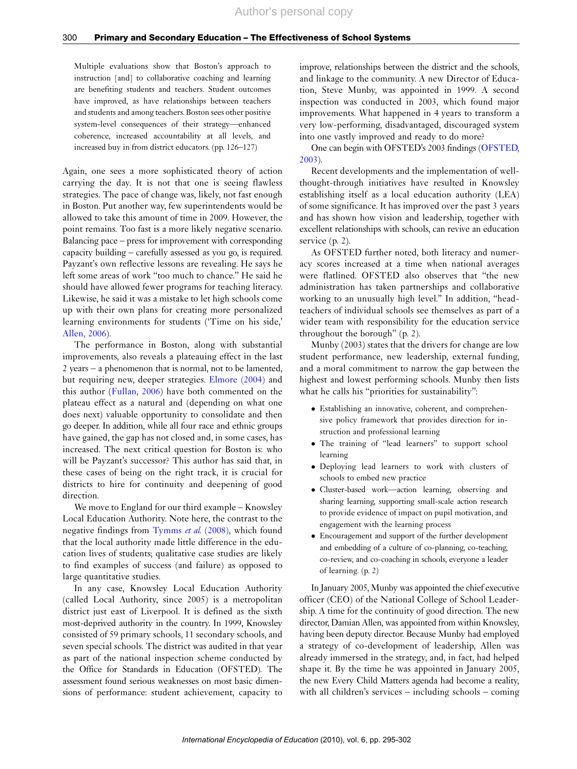Multiple evaluations show that Boston's approach to instruction [and] to collaborative coaching and learning are benefiting students and teachers. Student outcomes have improved, as have relationships between teachers and students and among teachers. Boston sees other positive system-level consequences of their strategy—enhanced coherence, increased accountability at all levels, and increased buy in from district educators. (pp. 126–127)

Again, one sees a more sophisticated theory of action carrying the day. It is not that one is seeing flawless strategies. The pace of change was, likely, not fast enough in Boston. Put another way, few superintendents would be allowed to take this amount of time in 2009. However, the point remains. Too fast is a more likely negative scenario. Balancing pace – press for improvement with corresponding capacity building – carefully assessed as you go, is required. Payzant's own reflective lessons are revealing. He says he left some areas of work ''too much to chance.'' He said he should have allowed fewer programs for teaching literacy. Likewise, he said it was a mistake to let high schools come up with their own plans for creating more personalized learning environments for students ('Time on his side,' [Allen, 2006\)](#page-8-0).

The performance in Boston, along with substantial improvements, also reveals a plateauing effect in the last 2 years – a phenomenon that is normal, not to be lamented, but requiring new, deeper strategies. [Elmore \(2004\)](#page-8-0) and this author [\(Fullan, 2006](#page-8-0)) have both commented on the plateau effect as a natural and (depending on what one does next) valuable opportunity to consolidate and then go deeper. In addition, while all four race and ethnic groups have gained, the gap has not closed and, in some cases, has increased. The next critical question for Boston is: who will be Payzant's successor? This author has said that, in these cases of being on the right track, it is crucial for districts to hire for continuity and deepening of good direction.

We move to England for our third example – Knowsley Local Education Authority. Note here, the contrast to the negative findings from [Tymms](#page-8-0) et al. (2008), which found that the local authority made little difference in the education lives of students; qualitative case studies are likely to find examples of success (and failure) as opposed to large quantitative studies.

In any case, Knowsley Local Education Authority (called Local Authority, since 2005) is a metropolitan district just east of Liverpool. It is defined as the sixth most-deprived authority in the country. In 1999, Knowsley consisted of 59 primary schools, 11 secondary schools, and seven special schools. The district was audited in that year as part of the national inspection scheme conducted by the Office for Standards in Education (OFSTED). The assessment found serious weaknesses on most basic dimensions of performance: student achievement, capacity to

improve, relationships between the district and the schools, and linkage to the community. A new Director of Education, Steve Munby, was appointed in 1999. A second inspection was conducted in 2003, which found major improvements. What happened in 4 years to transform a very low-performing, disadvantaged, discouraged system into one vastly improved and ready to do more?

One can begin with OFSTED's 2003 findings ([OFSTED,](#page-8-0) [2003\)](#page-8-0).

Recent developments and the implementation of wellthought-through initiatives have resulted in Knowsley establishing itself as a local education authority (LEA) of some significance. It has improved over the past 3 years and has shown how vision and leadership, together with excellent relationships with schools, can revive an education service (p. 2).

As OFSTED further noted, both literacy and numeracy scores increased at a time when national averages were flatlined. OFSTED also observes that ''the new administration has taken partnerships and collaborative working to an unusually high level.'' In addition, ''headteachers of individual schools see themselves as part of a wider team with responsibility for the education service throughout the borough'' (p. 2).

Munby (2003) states that the drivers for change are low student performance, new leadership, external funding, and a moral commitment to narrow the gap between the highest and lowest performing schools. Munby then lists what he calls his "priorities for sustainability":

- Establishing an innovative, coherent, and comprehensive policy framework that provides direction for instruction and professional learning
- The training of ''lead learners'' to support school learning
- Deploying lead learners to work with clusters of schools to embed new practice
- Cluster-based work—action learning, observing and sharing learning, supporting small-scale action research to provide evidence of impact on pupil motivation, and engagement with the learning process
- Encouragement and support of the further development and embedding of a culture of co-planning, co-teaching, co-review, and co-coaching in schools, everyone a leader of learning. (p. 2)

In January 2005, Munby was appointed the chief executive officer (CEO) of the National College of School Leadership. A time for the continuity of good direction. The new director, Damian Allen, was appointed from within Knowsley, having been deputy director. Because Munby had employed a strategy of co-development of leadership, Allen was already immersed in the strategy, and, in fact, had helped shape it. By the time he was appointed in January 2005, the new Every Child Matters agenda had become a reality, with all children's services – including schools – coming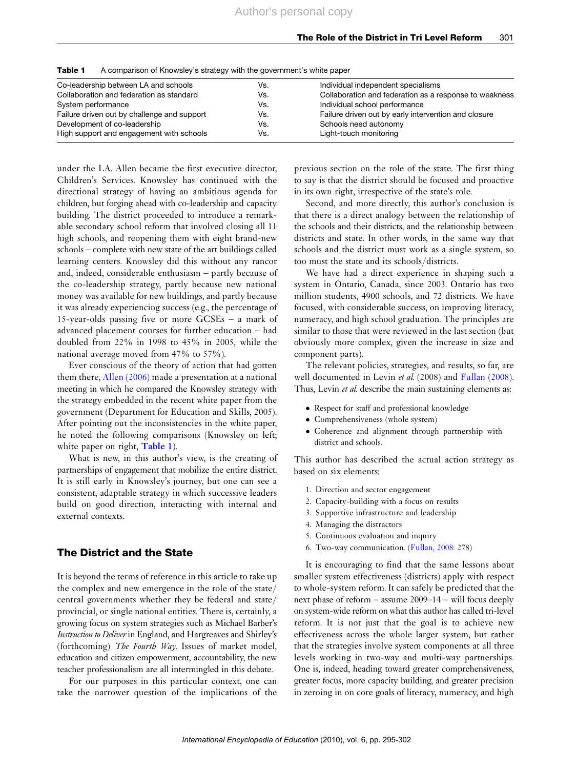| Tanic T<br>A companson or innowsity s strattegy with the government s write paper |     |                                                        |
|-----------------------------------------------------------------------------------|-----|--------------------------------------------------------|
| Co-leadership between LA and schools                                              | Vs. | Individual independent specialisms                     |
| Collaboration and federation as standard                                          | Vs. | Collaboration and federation as a response to weakness |
| System performance                                                                | Vs. | Individual school performance                          |
| Failure driven out by challenge and support                                       | Vs. | Failure driven out by early intervention and closure   |
| Development of co-leadership                                                      | Vs. | Schools need autonomy                                  |
| High support and engagement with schools                                          | Vs. | Light-touch monitoring                                 |

Table 1 A comparison of Knowsley's strategy with the government's white paper

under the LA. Allen became the first executive director, Children's Services. Knowsley has continued with the directional strategy of having an ambitious agenda for children, but forging ahead with co-leadership and capacity building. The district proceeded to introduce a remarkable secondary school reform that involved closing all 11 high schools, and reopening them with eight brand-new schools – complete with new state of the art buildings called learning centers. Knowsley did this without any rancor and, indeed, considerable enthusiasm – partly because of the co-leadership strategy, partly because new national money was available for new buildings, and partly because it was already experiencing success (e.g., the percentage of 15-year-olds passing five or more GCSEs – a mark of advanced placement courses for further education – had doubled from 22% in 1998 to 45% in 2005, while the national average moved from 47% to 57%).

Ever conscious of the theory of action that had gotten them there, [Allen \(2006\)](#page-8-0) made a presentation at a national meeting in which he compared the Knowsley strategy with the strategy embedded in the recent white paper from the government (Department for Education and Skills, 2005). After pointing out the inconsistencies in the white paper, he noted the following comparisons (Knowsley on left; white paper on right, Table 1).

What is new, in this author's view, is the creating of partnerships of engagement that mobilize the entire district. It is still early in Knowsley's journey, but one can see a consistent, adaptable strategy in which successive leaders build on good direction, interacting with internal and external contexts.

### The District and the State

It is beyond the terms of reference in this article to take up the complex and new emergence in the role of the state/ central governments whether they be federal and state/ provincial, or single national entities. There is, certainly, a growing focus on system strategies such as Michael Barber's Instruction to Deliver in England, and Hargreaves and Shirley's (forthcoming) The Fourth Way. Issues of market model, education and citizen empowerment, accountability, the new teacher professionalism are all intermingled in this debate.

For our purposes in this particular context, one can take the narrower question of the implications of the

previous section on the role of the state. The first thing to say is that the district should be focused and proactive in its own right, irrespective of the state's role.

Second, and more directly, this author's conclusion is that there is a direct analogy between the relationship of the schools and their districts, and the relationship between districts and state. In other words, in the same way that schools and the district must work as a single system, so too must the state and its schools/districts.

We have had a direct experience in shaping such a system in Ontario, Canada, since 2003. Ontario has two million students, 4900 schools, and 72 districts. We have focused, with considerable success, on improving literacy, numeracy, and high school graduation. The principles are similar to those that were reviewed in the last section (but obviously more complex, given the increase in size and component parts).

The relevant policies, strategies, and results, so far, are well documented in Levin et al. (2008) and [Fullan \(2008\).](#page-8-0) Thus, Levin et al. describe the main sustaining elements as:

- Respect for staff and professional knowledge
- Comprehensiveness (whole system)
- Coherence and alignment through partnership with district and schools.

This author has described the actual action strategy as based on six elements:

- 1. Direction and sector engagement
- 2. Capacity-building with a focus on results
- 3. Supportive infrastructure and leadership
- 4. Managing the distractors
- 5. Continuous evaluation and inquiry
- 6. Two-way communication. ([Fullan, 2008](#page-8-0): 278)

It is encouraging to find that the same lessons about smaller system effectiveness (districts) apply with respect to whole-system reform. It can safely be predicted that the next phase of reform – assume 2009–14 – will focus deeply on system-wide reform on what this author has called tri-level reform. It is not just that the goal is to achieve new effectiveness across the whole larger system, but rather that the strategies involve system components at all three levels working in two-way and multi-way partnerships. One is, indeed, heading toward greater comprehensiveness, greater focus, more capacity building, and greater precision in zeroing in on core goals of literacy, numeracy, and high